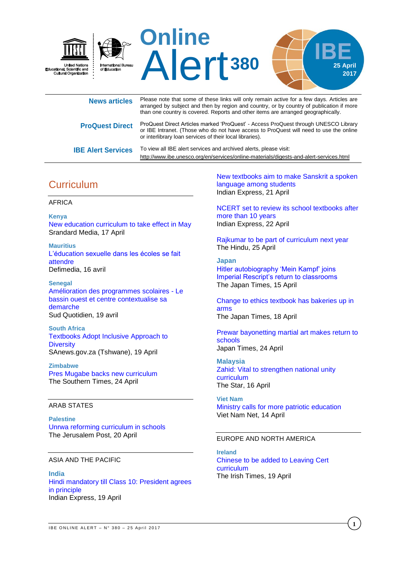

| <b>News articles</b>      | Please note that some of these links will only remain active for a few days. Articles are<br>arranged by subject and then by region and country, or by country of publication if more<br>than one country is covered. Reports and other items are arranged geographically. |
|---------------------------|----------------------------------------------------------------------------------------------------------------------------------------------------------------------------------------------------------------------------------------------------------------------------|
| <b>ProQuest Direct</b>    | ProQuest Direct Articles marked 'ProQuest' - Access ProQuest through UNESCO Library<br>or IBE Intranet. (Those who do not have access to ProQuest will need to use the online<br>or interlibrary loan services of their local libraries).                                  |
| <b>IBE Alert Services</b> | To view all IBE alert services and archived alerts, please visit:<br>http://www.ibe.unesco.org/en/services/online-materials/digests-and-alert-services.html                                                                                                                |

# **Curriculum**

### AFRICA

**Kenya** New education [curriculum to take effect in May](https://www.standardmedia.co.ke/article/2001236574/new-education-curriculum-to-take-effect-in-may) Srandard Media, 17 April

**Mauritius** [L'éducation sexuelle dans les écoles se fait](http://defimedia.info/leducation-sexuelle-dans-les-ecoles-se-fait-attendre)  [attendre](http://defimedia.info/leducation-sexuelle-dans-les-ecoles-se-fait-attendre) Defimedia, 16 avril

**Senegal** [Amélioration des programmes scolaires -](http://fr.allafrica.com/stories/201704190734.html) Le [bassin ouest et centre contextualise sa](http://fr.allafrica.com/stories/201704190734.html)  [demarche](http://fr.allafrica.com/stories/201704190734.html) Sud Quotidien, 19 avril

**South Africa** [Textbooks Adopt Inclusive Approach to](http://allafrica.com/stories/201704190789.html)  **[Diversity](http://allafrica.com/stories/201704190789.html)** SAnews.gov.za (Tshwane), 19 April

**Zimbabwe** [Pres Mugabe backs new curriculum](https://southernafrican.news/2017/04/24/pres-mugabe-backs-new-curriculum/) The Southern Times, 24 April

#### ARAB STATES

**Palestine** [Unrwa reforming curriculum in schools](http://www.jpost.com/Middle-East/UNRWA-proposes-reform-of-curriculum-in-PA-schools-488385) The Jerusalem Post, 20 April

#### ASIA AND THE PACIFIC

**India** [Hindi mandatory till Class 10: President agrees](http://indianexpress.com/article/education/hindi-mandatory-till-class-x-president-agrees-in-principle-4618914/)  in [principle](http://indianexpress.com/article/education/hindi-mandatory-till-class-x-president-agrees-in-principle-4618914/) Indian Express, 19 April

[New textbooks aim to make Sanskrit a spoken](http://indianexpress.com/article/education/new-textbooks-aim-to-make-sanskrit-a-spoken-language-among-students-4621647/)  [language among](http://indianexpress.com/article/education/new-textbooks-aim-to-make-sanskrit-a-spoken-language-among-students-4621647/) students Indian Express, 21 April

[NCERT set to review its school textbooks after](http://indianexpress.com/article/education/ncert-set-to-review-its-school-textbooks-after-more-than-10-yrs-4623126/)  [more than 10](http://indianexpress.com/article/education/ncert-set-to-review-its-school-textbooks-after-more-than-10-yrs-4623126/) years Indian Express, 22 April

[Rajkumar to be part of curriculum next year](http://www.thehindu.com/news/national/karnataka/rajkumar-to-be-part-of-curriculum-next-year/article18201801.ece) The Hindu, 25 April

**Japan** [Hitler autobiography 'Mein Kampf' joins](http://www.japantimes.co.jp/news/2017/04/15/national/social-issues/japan-tolerates-use-hitlers-autobiography-schools/#.WP5ANlLpORY)  [Imperial Rescript's return to classrooms](http://www.japantimes.co.jp/news/2017/04/15/national/social-issues/japan-tolerates-use-hitlers-autobiography-schools/#.WP5ANlLpORY) The Japan Times, 15 April

[Change to ethics textbook has bakeries up in](http://www.japantimes.co.jp/news/2017/04/18/national/change-ethics-textbook-bakeries-arms/#.WP5I8FLpORY)  [arms](http://www.japantimes.co.jp/news/2017/04/18/national/change-ethics-textbook-bakeries-arms/#.WP5I8FLpORY) The Japan Times, 18 April

[Prewar bayonetting martial art makes return to](http://www.japantimes.co.jp/news/2017/04/24/reference/prewar-bayonetting-martial-art-makes-return-schools/#.WP8MQ_2weUk)  [schools](http://www.japantimes.co.jp/news/2017/04/24/reference/prewar-bayonetting-martial-art-makes-return-schools/#.WP8MQ_2weUk) Japan Times, 24 April

**Malaysia** [Zahid: Vital to strengthen national unity](http://www.thestar.com.my/news/nation/2017/04/16/zahid-vital-to-strengthen-national-unity-curriculum/)  [curriculum](http://www.thestar.com.my/news/nation/2017/04/16/zahid-vital-to-strengthen-national-unity-curriculum/) The Star, 16 April

**Viet Nam** [Ministry calls for more patriotic education](http://english.vietnamnet.vn/fms/education/176519/ministry-calls-for-more-patriotic-education.html) Viet Nam Net, 14 April

### EUROPE AND NORTH AMERICA

**Ireland** [Chinese to be added to Leaving Cert](http://www.irishtimes.com/news/education/chinese-to-be-added-to-leaving-cert-curriculum-1.3053121)  [curriculum](http://www.irishtimes.com/news/education/chinese-to-be-added-to-leaving-cert-curriculum-1.3053121) The Irish Times, 19 April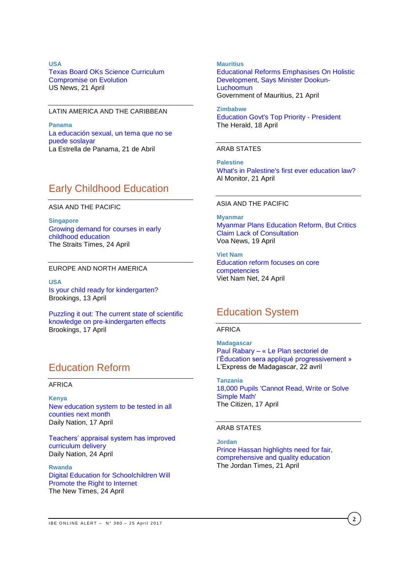**USA** [Texas Board OKs Science Curriculum](https://www.usnews.com/news/best-states/texas/articles/2017-04-21/texas-board-oks-science-curriculum-compromise-on-evolution)  [Compromise on Evolution](https://www.usnews.com/news/best-states/texas/articles/2017-04-21/texas-board-oks-science-curriculum-compromise-on-evolution) US News, 21 April

### LATIN AMERICA AND THE CARIBBEAN

**Panama** [La educación sexual, un tema que no se](http://laestrella.com.pa/panama/politica/educacion-sexual-tema-puede-soslayar/23997241)  [puede soslayar](http://laestrella.com.pa/panama/politica/educacion-sexual-tema-puede-soslayar/23997241) La Estrella de Panama, 21 de Abril

# Early Childhood Education

#### ASIA AND THE PACIFIC

**Singapore** [Growing demand for courses in early](http://www.straitstimes.com/singapore/education/growing-demand-for-courses-in-early-childhood-education)  [childhood education](http://www.straitstimes.com/singapore/education/growing-demand-for-courses-in-early-childhood-education) The Straits Times, 24 April

#### EUROPE AND NORTH AMERICA

**USA** [Is your child ready for kindergarten?](https://www.brookings.edu/research/is-your-child-ready-for-kindergarten/) Brookings, 13 April

[Puzzling it out: The current state of scientific](https://www.brookings.edu/research/puzzling-it-out-the-current-state-of-scientific-knowledge-on-pre-kindergarten-effects/)  [knowledge on pre-kindergarten effects](https://www.brookings.edu/research/puzzling-it-out-the-current-state-of-scientific-knowledge-on-pre-kindergarten-effects/) Brookings, 17 April

# Education Reform

#### AFRICA

**Kenya** [New education system to be tested in all](http://www.nation.co.ke/news/education/New-education-system-tested-in-counties-/2643604-3892206-gscggw/)  [counties next month](http://www.nation.co.ke/news/education/New-education-system-tested-in-counties-/2643604-3892206-gscggw/) Daily Nation, 17 April

[Teachers' appraisal system has improved](http://www.nation.co.ke/oped/Opinion/Teachers--appraisal-system--improved-curriculum/440808-3902374-128smg2z/)  [curriculum delivery](http://www.nation.co.ke/oped/Opinion/Teachers--appraisal-system--improved-curriculum/440808-3902374-128smg2z/) Daily Nation, 24 April

**Rwanda** [Digital Education for Schoolchildren Will](http://allafrica.com/stories/201704240053.html)  [Promote the Right to Internet](http://allafrica.com/stories/201704240053.html) The New Times, 24 April

#### **Mauritius**

 **2017** [Educational Reforms Emphasises On Holistic](http://allafrica.com/stories/201704210585.html)  [Development, Says Minister Dookun-](http://allafrica.com/stories/201704210585.html)**[Luchoomun](http://allafrica.com/stories/201704210585.html)** Government of Mauritius, 21 April

**Zimbabwe** [Education Govt's Top Priority -](http://allafrica.com/stories/201704180210.html) President The Herald, 18 April

### ARAB STATES

**Palestine** [What's in Palestine's first ever education law?](http://www.al-monitor.com/pulse/originals/2017/04/palestine-education-ministry-law-schools.html) Al Monitor, 21 April

#### ASIA AND THE PACIFIC

**Myanmar** [Myanmar Plans Education Reform, But Critics](https://www.voanews.com/a/myanmar-plans-education-reform-but-critics-claim-lack-of-consultation/3816698.html)  [Claim Lack of Consultation](https://www.voanews.com/a/myanmar-plans-education-reform-but-critics-claim-lack-of-consultation/3816698.html) Voa News, 19 April

**Viet Nam** [Education reform focuses on core](http://english.vietnamnet.vn/fms/education/177129/education-reform-focuses-on-core-competencies.html)  [competencies](http://english.vietnamnet.vn/fms/education/177129/education-reform-focuses-on-core-competencies.html) Viet Nam Net, 24 April

# Education System

### AFRICA

**Madagascar** Paul Rabary – [« Le Plan sectoriel de](http://www.lexpressmada.com/blog/actualites/paul-rabary-le-plan-sectoriel-de-leducation-sera-applique-progressivement/)  [l'Éducation sera appliqué progressivement »](http://www.lexpressmada.com/blog/actualites/paul-rabary-le-plan-sectoriel-de-leducation-sera-applique-progressivement/) L'Express de Madagascar, 22 avril

**Tanzania** [18,000 Pupils 'Cannot Read, Write or Solve](http://allafrica.com/stories/201704170232.html)  [Simple Math'](http://allafrica.com/stories/201704170232.html) The Citizen, 17 April

#### ARAB STATES

**Jordan** [Prince Hassan highlights need for fair,](http://www.jordantimes.com/news/local/prince-hassan-highlights-need-fair-comprehensive-and-quality-education)  [comprehensive and quality education](http://www.jordantimes.com/news/local/prince-hassan-highlights-need-fair-comprehensive-and-quality-education) The Jordan Times, 21 April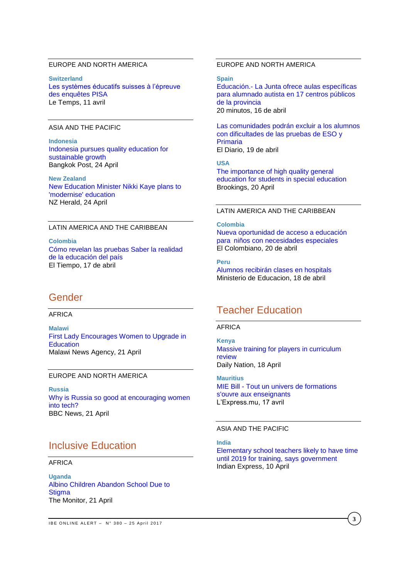## EUROPE AND NORTH AMERICA

**Switzerland** [Les systèmes éducatifs suisses à l'épreuve](https://www.letemps.ch/opinions/2017/04/11/systemes-educatifs-suisses-lepreuve-enquetes-pisa)  [des enquêtes PISA](https://www.letemps.ch/opinions/2017/04/11/systemes-educatifs-suisses-lepreuve-enquetes-pisa) Le Temps, 11 avril

#### ASIA AND THE PACIFIC

**Indonesia** [Indonesia pursues quality education for](http://www.bangkokpost.com/news/asean/1237502/indonesia-pursues-quality-education-for-sustainable-growth)  [sustainable growth](http://www.bangkokpost.com/news/asean/1237502/indonesia-pursues-quality-education-for-sustainable-growth) Bangkok Post, 24 April

**New Zealand** [New Education Minister Nikki Kaye plans to](http://www.nzherald.co.nz/nz/news/article.cfm?c_id=1&objectid=11844278)  ['modernise' education](http://www.nzherald.co.nz/nz/news/article.cfm?c_id=1&objectid=11844278) NZ Herald, 24 April

#### LATIN AMERICA AND THE CARIBBEAN

**Colombia** [Cómo revelan las pruebas Saber la realidad](http://www.eltiempo.com/vida/educacion/columna-de-la-directora-del-icfes-como-revelan-las-pruebas-saber-la-realidad-de-la-educacion-del-pais-78634)  [de la educación del país](http://www.eltiempo.com/vida/educacion/columna-de-la-directora-del-icfes-como-revelan-las-pruebas-saber-la-realidad-de-la-educacion-del-pais-78634) El Tiempo, 17 de abril

# Gender

#### AFRICA

**Malawi** [First Lady Encourages Women to Upgrade in](http://allafrica.com/stories/201704240299.html)  **[Education](http://allafrica.com/stories/201704240299.html)** Malawi News Agency, 21 April

#### EUROPE AND NORTH AMERICA

**Russia** [Why is Russia so good at encouraging women](http://www.bbc.com/news/business-39579321)  [into tech?](http://www.bbc.com/news/business-39579321) BBC News, 21 April

# Inclusive Education

#### AFRICA

**Uganda** [Albino Children Abandon School Due to](http://allafrica.com/stories/201704210008.html)  **[Stigma](http://allafrica.com/stories/201704210008.html)** The Monitor, 21 April

## EUROPE AND NORTH AMERICA

**Spain**

Educación.- [La Junta ofrece aulas específicas](http://www.20minutos.es/noticia/3012577/0/educacion-junta-ofrece-aulas-especificas-para-alumnado-autista-17-centros-publicos-provincia/)  [para alumnado autista en 17 centros públicos](http://www.20minutos.es/noticia/3012577/0/educacion-junta-ofrece-aulas-especificas-para-alumnado-autista-17-centros-publicos-provincia/)  [de la provincia](http://www.20minutos.es/noticia/3012577/0/educacion-junta-ofrece-aulas-especificas-para-alumnado-autista-17-centros-publicos-provincia/) 20 minutos, 16 de abril

[Las comunidades podrán excluir a los alumnos](http://www.eldiario.es/sociedad/CCAA-excluir-Primaria-alumnos-dificultades_0_634836636.html)  [con dificultades de las pruebas de ESO y](http://www.eldiario.es/sociedad/CCAA-excluir-Primaria-alumnos-dificultades_0_634836636.html)  [Primaria](http://www.eldiario.es/sociedad/CCAA-excluir-Primaria-alumnos-dificultades_0_634836636.html) El Diario, 19 de abril

**USA** [The importance of high quality general](https://www.brookings.edu/research/the-importance-of-high-quality-general-education-for-students-in-special-education/)  [education for students in special education](https://www.brookings.edu/research/the-importance-of-high-quality-general-education-for-students-in-special-education/) Brookings, 20 April

#### LATIN AMERICA AND THE CARIBBEAN

## **Colombia**

[Nueva oportunidad de acceso a educación](http://www.elcolombiano.com/colombia/educacion/ninos-en-condicion-de-discapacidad-de-medellin-tienen-oportunidad-de-acceso-a-educacion-DF6362665)  para [niños con necesidades especiales](http://www.elcolombiano.com/colombia/educacion/ninos-en-condicion-de-discapacidad-de-medellin-tienen-oportunidad-de-acceso-a-educacion-DF6362665) El Colombiano, 20 de abril

**Peru** [Alumnos recibirán clases en hospitals](http://www.minedu.gob.pe/n/noticia.php?id=42525) Ministerio de Educacion, 18 de abril

# Teacher Education

# AFRICA

**Kenya** [Massive training for players in curriculum](http://www.nation.co.ke/news/education/Massive-training-for-players-in-curriculum-review/2643604-3894944-y51g6p/)  [review](http://www.nation.co.ke/news/education/Massive-training-for-players-in-curriculum-review/2643604-3894944-y51g6p/) Daily Nation, 18 April

**Mauritius** MIE Bill - [Tout un univers de formations](http://fr.allafrica.com/stories/201704180409.html)  [s'ouvre aux enseignants](http://fr.allafrica.com/stories/201704180409.html) L'Express.mu, 17 avril

### ASIA AND THE PACIFIC

**India**

[Elementary school teachers likely to have time](http://indianexpress.com/article/education/elementary-school-teachers-likely-to-have-time-until-2019-for-training-says-government-4607399/)  until 2019 for [training, says](http://indianexpress.com/article/education/elementary-school-teachers-likely-to-have-time-until-2019-for-training-says-government-4607399/) government Indian Express, 10 April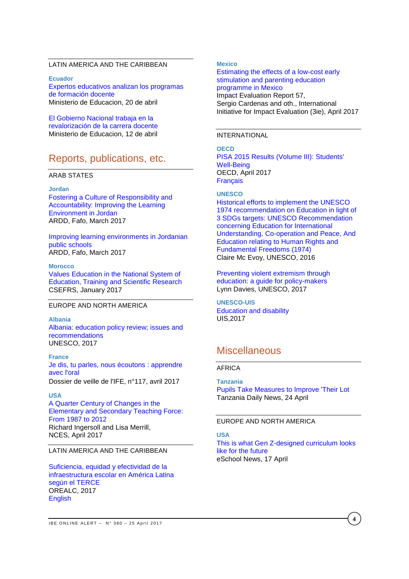## LATIN AMERICA AND THE CARIBBEAN

**Ecuador** [Expertos educativos analizan los programas](https://educacion.gob.ec/expertos-educativos-analizan-los-programas-de-formacion-docente/)  [de formación docente](https://educacion.gob.ec/expertos-educativos-analizan-los-programas-de-formacion-docente/) Ministerio de Educacion, 20 de abril

[El Gobierno Nacional trabaja en la](https://educacion.gob.ec/el-gobierno-nacional-trabaja-en-la-revalorizacion-de-la-carrera-docente/)  [revalorización de la carrera docente](https://educacion.gob.ec/el-gobierno-nacional-trabaja-en-la-revalorizacion-de-la-carrera-docente/) Ministerio de Educacion, 12 de abril

# Reports, publications, etc.

#### ARAB STATES

#### **Jordan**

[Fostering a Culture of Responsibility and](https://ardd-jo.org/sites/default/files/resource-files/fostering_a_culture_of_responsibility_and_accountability.compressed.pdf)  [Accountability: Improving the Learning](https://ardd-jo.org/sites/default/files/resource-files/fostering_a_culture_of_responsibility_and_accountability.compressed.pdf)  [Environment in Jordan](https://ardd-jo.org/sites/default/files/resource-files/fostering_a_culture_of_responsibility_and_accountability.compressed.pdf) ARDD, Fafo, March 2017

[Improving learning environments in Jordanian](https://ardd-jo.org/sites/default/files/resource-files/improving_learning_environments_in_jordanian_public_schools.compressed_12_0.pdf)  [public schools](https://ardd-jo.org/sites/default/files/resource-files/improving_learning_environments_in_jordanian_public_schools.compressed_12_0.pdf) ARDD, Fafo, March 2017

**Morocco** [Values Education in the National System of](http://www.csefrs.ma/pdf/Resume-REAV-EN.pdf)  [Education, Training and Scientific Research](http://www.csefrs.ma/pdf/Resume-REAV-EN.pdf)  CSEFRS, January 2017

## EUROPE AND NORTH AMERICA

**Albania**

[Albania: education policy review; issues and](http://unesdoc.unesco.org/images/0024/002479/247993e.pdf)  [recommendations](http://unesdoc.unesco.org/images/0024/002479/247993e.pdf) UNESCO, 2017

#### **France**

[Je dis, tu parles, nous écoutons : apprendre](http://ife.ens-lyon.fr/vst/DA-Veille/117-avril-2017.pdf)  [avec l'oral](http://ife.ens-lyon.fr/vst/DA-Veille/117-avril-2017.pdf)

Dossier de veille de l'IFE, n°117, avril 2017

### **USA**

[A Quarter Century of Changes in the](https://nces.ed.gov/pubs2017/2017092.pdf)  [Elementary and Secondary Teaching Force:](https://nces.ed.gov/pubs2017/2017092.pdf)  [From 1987 to 2012](https://nces.ed.gov/pubs2017/2017092.pdf) Richard Ingersoll and Lisa Merrill, NCES, April 2017

## LATIN AMERICA AND THE CARIBBEAN

[Suficiencia, equidad y efectividad de la](http://unesdoc.unesco.org/images/0024/002475/247571s.pdf)  [infraestructura escolar en América Latina](http://unesdoc.unesco.org/images/0024/002475/247571s.pdf)  [según el TERCE](http://unesdoc.unesco.org/images/0024/002475/247571s.pdf) OREALC, 2017 [English](http://unesdoc.unesco.org/images/0024/002475/247571e.pdf)

#### **Mexico**

#### [Estimating the effects of a low-cost early](http://www.3ieimpact.org/media/filer_public/2017/04/24/ie57-mexico-childcare.pdf)  [stimulation and parenting education](http://www.3ieimpact.org/media/filer_public/2017/04/24/ie57-mexico-childcare.pdf)  [programme in Mexico](http://www.3ieimpact.org/media/filer_public/2017/04/24/ie57-mexico-childcare.pdf)  Impact Evaluation Report 57, Sergio Cardenas and oth., International Initiative for Impact Evaluation (3ie), April 2017

#### INTERNATIONAL

**OECD** [PISA 2015 Results \(Volume III\): Students'](http://www.oecd-ilibrary.org/docserver/download/9817021e.pdf?expires=1493107433&id=id&accname=guest&checksum=5DF0F1DD2AAF90FC509BB7330C5B10FE)  [Well-Being](http://www.oecd-ilibrary.org/docserver/download/9817021e.pdf?expires=1493107433&id=id&accname=guest&checksum=5DF0F1DD2AAF90FC509BB7330C5B10FE) OECD, April 2017 **[Français](http://www.oecd.org/pisa/PISA-a-la-loupe-71-Les-eleves-sont-ils-heureux.pdf)** 

#### **UNESCO**

[Historical efforts to implement the UNESCO](http://unesdoc.unesco.org/images/0024/002472/247275e.pdf)  [1974 recommendation on Education in light of](http://unesdoc.unesco.org/images/0024/002472/247275e.pdf)  [3 SDGs targets: UNESCO Recommendation](http://unesdoc.unesco.org/images/0024/002472/247275e.pdf)  [concerning Education for International](http://unesdoc.unesco.org/images/0024/002472/247275e.pdf)  [Understanding, Co-operation and Peace, And](http://unesdoc.unesco.org/images/0024/002472/247275e.pdf)  [Education relating to Human Rights and](http://unesdoc.unesco.org/images/0024/002472/247275e.pdf)  [Fundamental Freedoms \(1974\)](http://unesdoc.unesco.org/images/0024/002472/247275e.pdf) Claire Mc Evoy, UNESCO, 2016

[Preventing violent extremism through](http://unesdoc.unesco.org/images/0024/002477/247764e.pdf)  [education: a guide for policy-makers](http://unesdoc.unesco.org/images/0024/002477/247764e.pdf) Lynn Davies, UNESCO, 2017

### **UNESCO-UIS**

[Education and disability](http://unesdoc.unesco.org/images/0024/002475/247516e.pdf) UIS,2017

# **Miscellaneous**

## AFRICA

**Tanzania** Pupils [Take Measures to Improve 'Their Lot](http://allafrica.com/stories/201704240732.html) Tanzania Daily News, 24 April

### EUROPE AND NORTH AMERICA

#### **USA**

[This is what Gen Z-designed curriculum looks](https://www.eschoolnews.com/2017/04/17/gen-z-designed-curriculum/)  [like for the future](https://www.eschoolnews.com/2017/04/17/gen-z-designed-curriculum/) eSchool News, 17 April

**4**